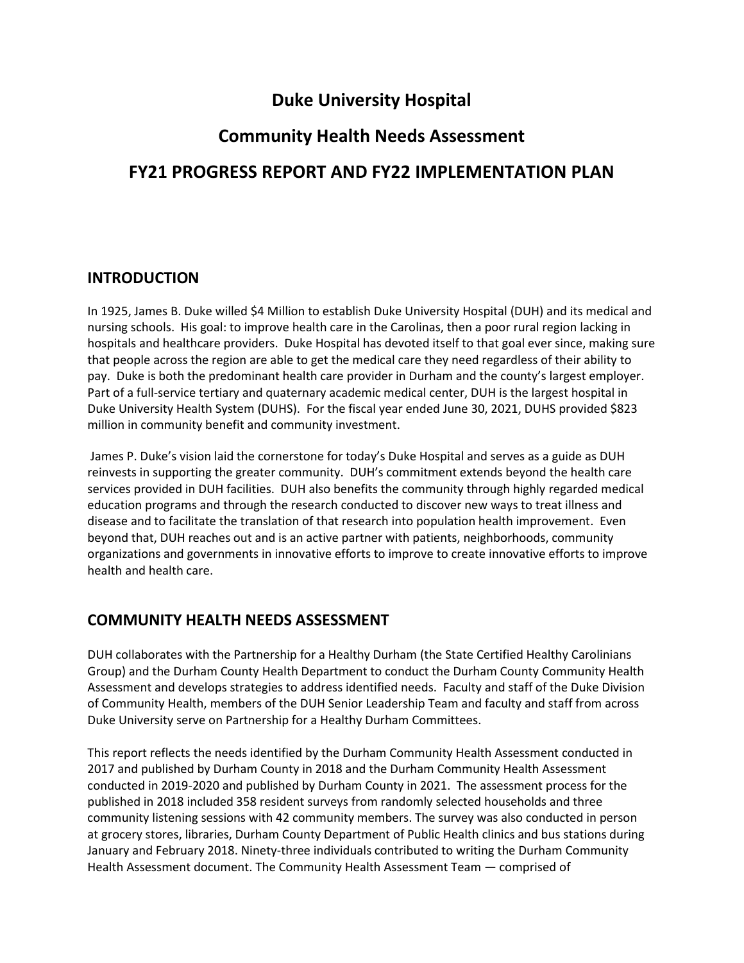## **Duke University Hospital**

# **Community Health Needs Assessment FY21 PROGRESS REPORT AND FY22 IMPLEMENTATION PLAN**

## **INTRODUCTION**

In 1925, James B. Duke willed \$4 Million to establish Duke University Hospital (DUH) and its medical and nursing schools. His goal: to improve health care in the Carolinas, then a poor rural region lacking in hospitals and healthcare providers. Duke Hospital has devoted itself to that goal ever since, making sure that people across the region are able to get the medical care they need regardless of their ability to pay. Duke is both the predominant health care provider in Durham and the county's largest employer. Part of a full-service tertiary and quaternary academic medical center, DUH is the largest hospital in Duke University Health System (DUHS). For the fiscal year ended June 30, 2021, DUHS provided \$823 million in community benefit and community investment.

James P. Duke's vision laid the cornerstone for today's Duke Hospital and serves as a guide as DUH reinvests in supporting the greater community. DUH's commitment extends beyond the health care services provided in DUH facilities. DUH also benefits the community through highly regarded medical education programs and through the research conducted to discover new ways to treat illness and disease and to facilitate the translation of that research into population health improvement. Even beyond that, DUH reaches out and is an active partner with patients, neighborhoods, community organizations and governments in innovative efforts to improve to create innovative efforts to improve health and health care.

## **COMMUNITY HEALTH NEEDS ASSESSMENT**

DUH collaborates with the Partnership for a Healthy Durham (the State Certified Healthy Carolinians Group) and the Durham County Health Department to conduct the Durham County Community Health Assessment and develops strategies to address identified needs. Faculty and staff of the Duke Division of Community Health, members of the DUH Senior Leadership Team and faculty and staff from across Duke University serve on Partnership for a Healthy Durham Committees.

This report reflects the needs identified by the Durham Community Health Assessment conducted in 2017 and published by Durham County in 2018 and the Durham Community Health Assessment conducted in 2019-2020 and published by Durham County in 2021. The assessment process for the published in 2018 included 358 resident surveys from randomly selected households and three community listening sessions with 42 community members. The survey was also conducted in person at grocery stores, libraries, Durham County Department of Public Health clinics and bus stations during January and February 2018. Ninety-three individuals contributed to writing the Durham Community Health Assessment document. The Community Health Assessment Team ― comprised of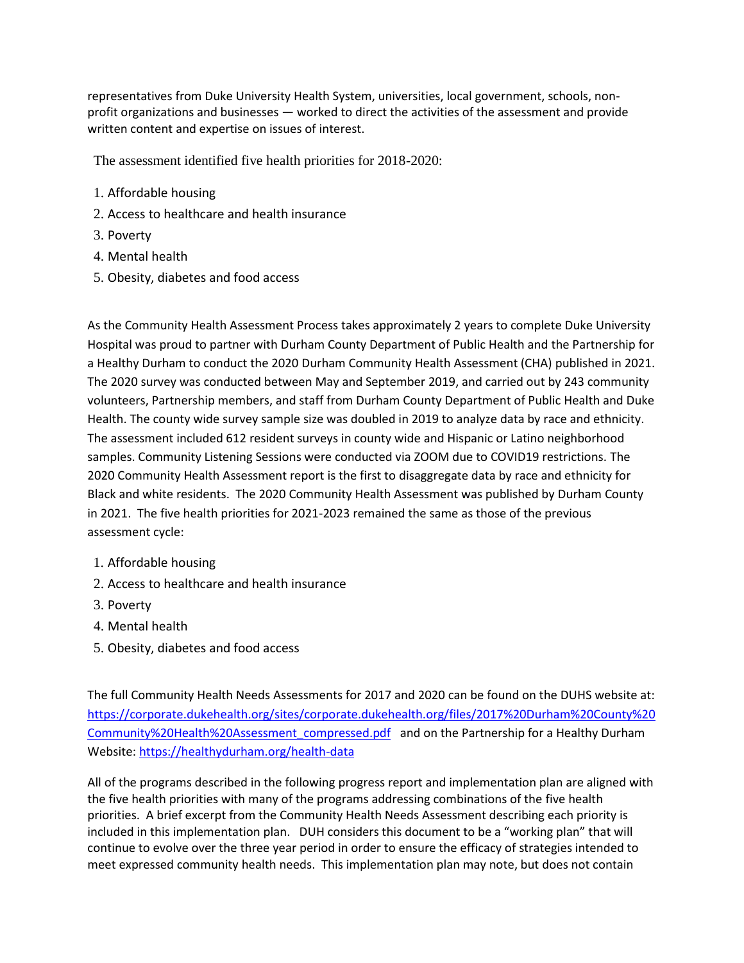representatives from Duke University Health System, universities, local government, schools, nonprofit organizations and businesses ― worked to direct the activities of the assessment and provide written content and expertise on issues of interest.

The assessment identified five health priorities for 2018-2020:

- 1. Affordable housing
- 2. Access to healthcare and health insurance
- 3. Poverty
- 4. Mental health
- 5. Obesity, diabetes and food access

As the Community Health Assessment Process takes approximately 2 years to complete Duke University Hospital was proud to partner with Durham County Department of Public Health and the Partnership for a Healthy Durham to conduct the 2020 Durham Community Health Assessment (CHA) published in 2021. The 2020 survey was conducted between May and September 2019, and carried out by 243 community volunteers, Partnership members, and staff from Durham County Department of Public Health and Duke Health. The county wide survey sample size was doubled in 2019 to analyze data by race and ethnicity. The assessment included 612 resident surveys in county wide and Hispanic or Latino neighborhood samples. Community Listening Sessions were conducted via ZOOM due to COVID19 restrictions. The 2020 Community Health Assessment report is the first to disaggregate data by race and ethnicity for Black and white residents. The 2020 Community Health Assessment was published by Durham County in 2021. The five health priorities for 2021-2023 remained the same as those of the previous assessment cycle:

- 1. Affordable housing
- 2. Access to healthcare and health insurance
- 3. Poverty
- 4. Mental health
- 5. Obesity, diabetes and food access

The full Community Health Needs Assessments for 2017 and 2020 can be found on the DUHS website at: [https://corporate.dukehealth.org/sites/corporate.dukehealth.org/files/2017%20Durham%20County%20](https://corporate.dukehealth.org/sites/corporate.dukehealth.org/files/2017%20Durham%20County%20Community%20Health%20Assessment_compressed.pdf) [Community%20Health%20Assessment\\_compressed.pdf](https://corporate.dukehealth.org/sites/corporate.dukehealth.org/files/2017%20Durham%20County%20Community%20Health%20Assessment_compressed.pdf) and on the Partnership for a Healthy Durham Website[: https://healthydurham.org/health-data](https://healthydurham.org/health-data)

All of the programs described in the following progress report and implementation plan are aligned with the five health priorities with many of the programs addressing combinations of the five health priorities. A brief excerpt from the Community Health Needs Assessment describing each priority is included in this implementation plan. DUH considers this document to be a "working plan" that will continue to evolve over the three year period in order to ensure the efficacy of strategies intended to meet expressed community health needs. This implementation plan may note, but does not contain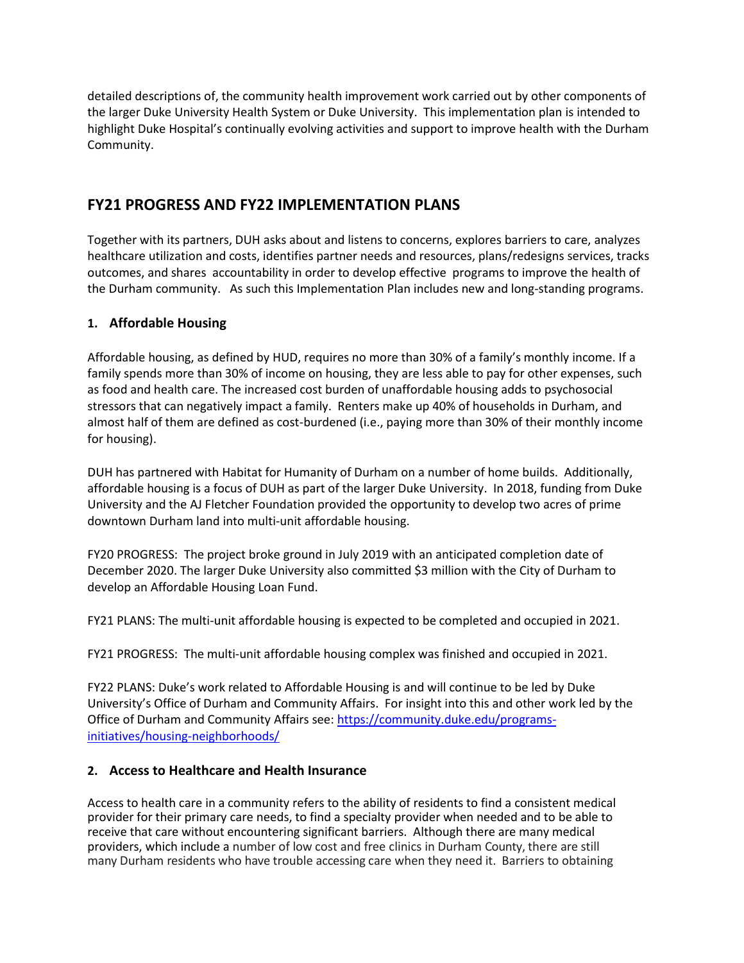detailed descriptions of, the community health improvement work carried out by other components of the larger Duke University Health System or Duke University. This implementation plan is intended to highlight Duke Hospital's continually evolving activities and support to improve health with the Durham Community.

### **FY21 PROGRESS AND FY22 IMPLEMENTATION PLANS**

Together with its partners, DUH asks about and listens to concerns, explores barriers to care, analyzes healthcare utilization and costs, identifies partner needs and resources, plans/redesigns services, tracks outcomes, and shares accountability in order to develop effective programs to improve the health of the Durham community. As such this Implementation Plan includes new and long-standing programs.

#### **1. Affordable Housing**

Affordable housing, as defined by HUD, requires no more than 30% of a family's monthly income. If a family spends more than 30% of income on housing, they are less able to pay for other expenses, such as food and health care. The increased cost burden of unaffordable housing adds to psychosocial stressors that can negatively impact a family. Renters make up 40% of households in Durham, and almost half of them are defined as cost-burdened (i.e., paying more than 30% of their monthly income for housing).

DUH has partnered with Habitat for Humanity of Durham on a number of home builds. Additionally, affordable housing is a focus of DUH as part of the larger Duke University. In 2018, funding from Duke University and the AJ Fletcher Foundation provided the opportunity to develop two acres of prime downtown Durham land into multi-unit affordable housing.

FY20 PROGRESS: The project broke ground in July 2019 with an anticipated completion date of December 2020. The larger Duke University also committed \$3 million with the City of Durham to develop an Affordable Housing Loan Fund.

FY21 PLANS: The multi-unit affordable housing is expected to be completed and occupied in 2021.

FY21 PROGRESS: The multi-unit affordable housing complex was finished and occupied in 2021.

FY22 PLANS: Duke's work related to Affordable Housing is and will continue to be led by Duke University's Office of Durham and Community Affairs. For insight into this and other work led by the Office of Durham and Community Affairs see[: https://community.duke.edu/programs](https://community.duke.edu/programs-initiatives/housing-neighborhoods/)[initiatives/housing-neighborhoods/](https://community.duke.edu/programs-initiatives/housing-neighborhoods/)

#### **2. Access to Healthcare and Health Insurance**

Access to health care in a community refers to the ability of residents to find a consistent medical provider for their primary care needs, to find a specialty provider when needed and to be able to receive that care without encountering significant barriers. Although there are many medical providers, which include a number of low cost and free clinics in Durham County, there are still many Durham residents who have trouble accessing care when they need it. Barriers to obtaining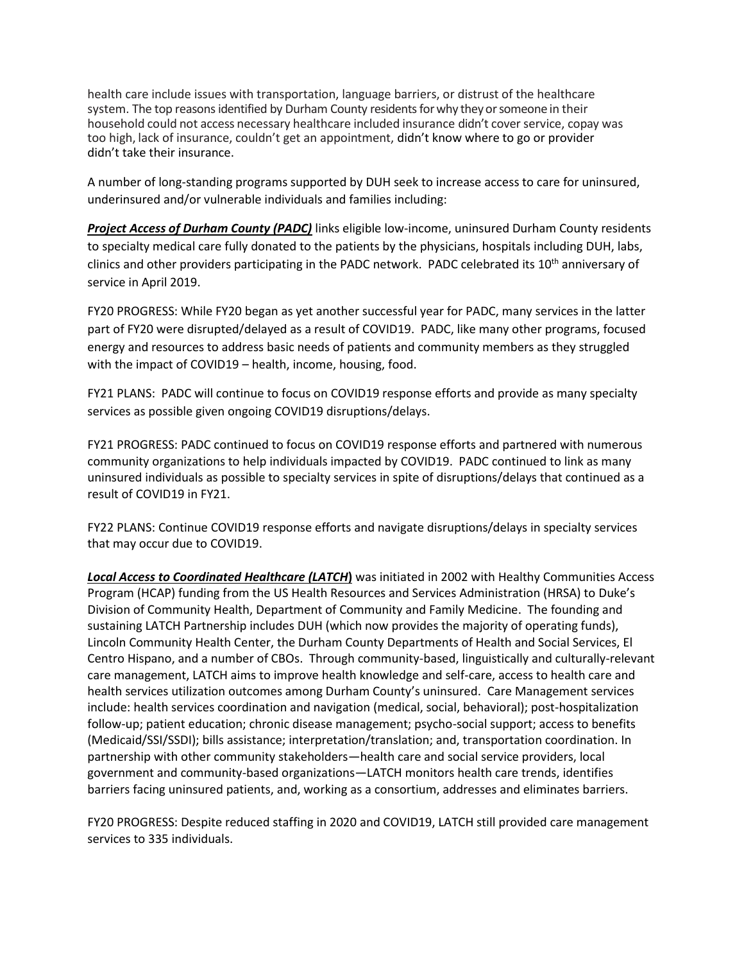health care include issues with transportation, language barriers, or distrust of the healthcare system. The top reasons identified by Durham County residents forwhy theyorsomeone in their household could not access necessary healthcare included insurance didn't cover service, copay was too high, lack of insurance, couldn't get an appointment, didn't know where to go or provider didn't take their insurance.

A number of long-standing programs supported by DUH seek to increase access to care for uninsured, underinsured and/or vulnerable individuals and families including:

*Project Access of Durham County (PADC)* links eligible low-income, uninsured Durham County residents to specialty medical care fully donated to the patients by the physicians, hospitals including DUH, labs, clinics and other providers participating in the PADC network. PADC celebrated its 10<sup>th</sup> anniversary of service in April 2019.

FY20 PROGRESS: While FY20 began as yet another successful year for PADC, many services in the latter part of FY20 were disrupted/delayed as a result of COVID19. PADC, like many other programs, focused energy and resources to address basic needs of patients and community members as they struggled with the impact of COVID19 – health, income, housing, food.

FY21 PLANS: PADC will continue to focus on COVID19 response efforts and provide as many specialty services as possible given ongoing COVID19 disruptions/delays.

FY21 PROGRESS: PADC continued to focus on COVID19 response efforts and partnered with numerous community organizations to help individuals impacted by COVID19. PADC continued to link as many uninsured individuals as possible to specialty services in spite of disruptions/delays that continued as a result of COVID19 in FY21.

FY22 PLANS: Continue COVID19 response efforts and navigate disruptions/delays in specialty services that may occur due to COVID19.

*Local Access to Coordinated Healthcare (LATCH***)** was initiated in 2002 with Healthy Communities Access Program (HCAP) funding from the US Health Resources and Services Administration (HRSA) to Duke's Division of Community Health, Department of Community and Family Medicine. The founding and sustaining LATCH Partnership includes DUH (which now provides the majority of operating funds), Lincoln Community Health Center, the Durham County Departments of Health and Social Services, El Centro Hispano, and a number of CBOs. Through community-based, linguistically and culturally-relevant care management, LATCH aims to improve health knowledge and self-care, access to health care and health services utilization outcomes among Durham County's uninsured. Care Management services include: health services coordination and navigation (medical, social, behavioral); post-hospitalization follow-up; patient education; chronic disease management; psycho-social support; access to benefits (Medicaid/SSI/SSDI); bills assistance; interpretation/translation; and, transportation coordination. In partnership with other community stakeholders—health care and social service providers, local government and community-based organizations—LATCH monitors health care trends, identifies barriers facing uninsured patients, and, working as a consortium, addresses and eliminates barriers.

FY20 PROGRESS: Despite reduced staffing in 2020 and COVID19, LATCH still provided care management services to 335 individuals.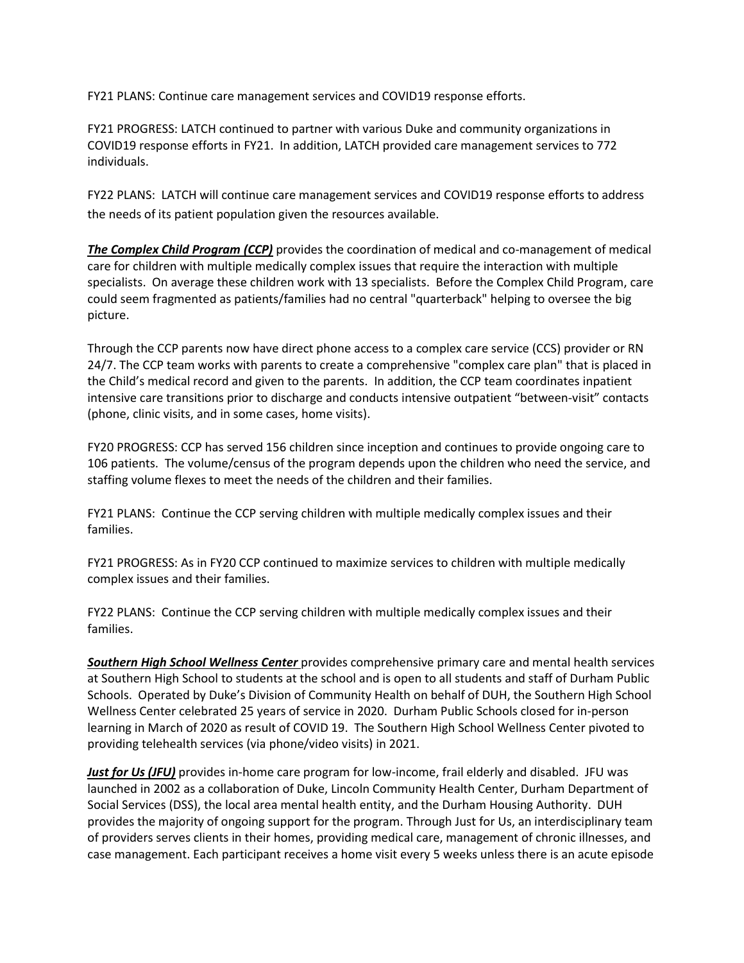FY21 PLANS: Continue care management services and COVID19 response efforts.

FY21 PROGRESS: LATCH continued to partner with various Duke and community organizations in COVID19 response efforts in FY21. In addition, LATCH provided care management services to 772 individuals.

FY22 PLANS: LATCH will continue care management services and COVID19 response efforts to address the needs of its patient population given the resources available.

*The Complex Child Program (CCP)* provides the coordination of medical and co-management of medical care for children with multiple medically complex issues that require the interaction with multiple specialists. On average these children work with 13 specialists. Before the Complex Child Program, care could seem fragmented as patients/families had no central "quarterback" helping to oversee the big picture.

Through the CCP parents now have direct phone access to a complex care service (CCS) provider or RN 24/7. The CCP team works with parents to create a comprehensive "complex care plan" that is placed in the Child's medical record and given to the parents. In addition, the CCP team coordinates inpatient intensive care transitions prior to discharge and conducts intensive outpatient "between-visit" contacts (phone, clinic visits, and in some cases, home visits).

FY20 PROGRESS: CCP has served 156 children since inception and continues to provide ongoing care to 106 patients. The volume/census of the program depends upon the children who need the service, and staffing volume flexes to meet the needs of the children and their families.

FY21 PLANS: Continue the CCP serving children with multiple medically complex issues and their families.

FY21 PROGRESS: As in FY20 CCP continued to maximize services to children with multiple medically complex issues and their families.

FY22 PLANS: Continue the CCP serving children with multiple medically complex issues and their families.

*Southern High School Wellness Center* provides comprehensive primary care and mental health services at Southern High School to students at the school and is open to all students and staff of Durham Public Schools. Operated by Duke's Division of Community Health on behalf of DUH, the Southern High School Wellness Center celebrated 25 years of service in 2020. Durham Public Schools closed for in-person learning in March of 2020 as result of COVID 19. The Southern High School Wellness Center pivoted to providing telehealth services (via phone/video visits) in 2021.

*Just for Us (JFU)* provides in-home care program for low-income, frail elderly and disabled. JFU was launched in 2002 as a collaboration of Duke, Lincoln Community Health Center, Durham Department of Social Services (DSS), the local area mental health entity, and the Durham Housing Authority. DUH provides the majority of ongoing support for the program. Through Just for Us, an interdisciplinary team of providers serves clients in their homes, providing medical care, management of chronic illnesses, and case management. Each participant receives a home visit every 5 weeks unless there is an acute episode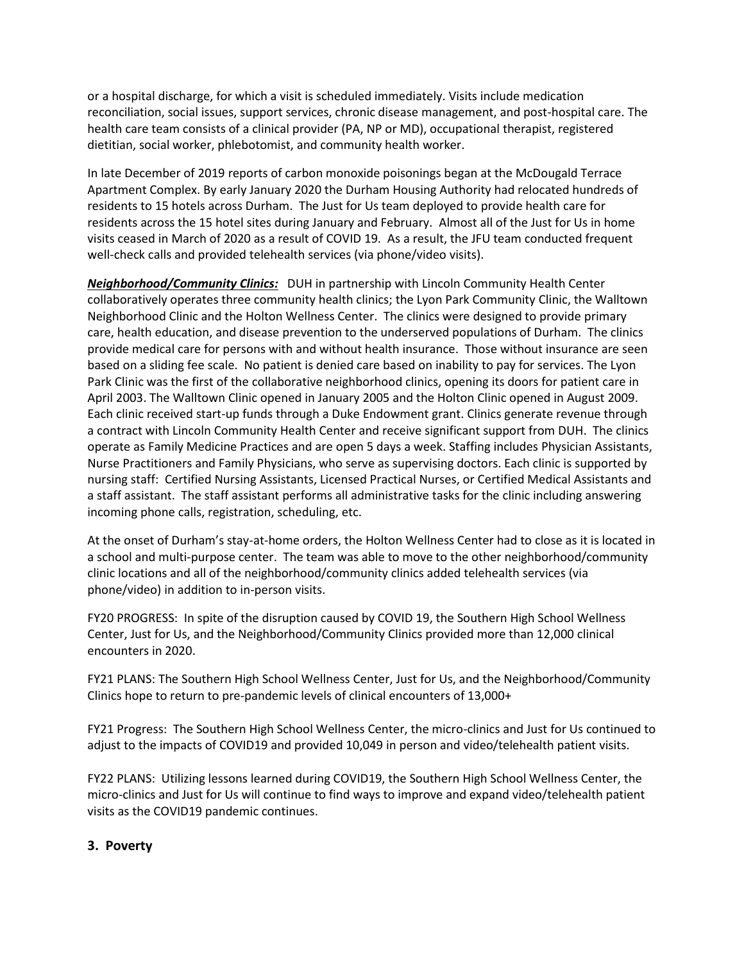or a hospital discharge, for which a visit is scheduled immediately. Visits include medication reconciliation, social issues, support services, chronic disease management, and post-hospital care. The health care team consists of a clinical provider (PA, NP or MD), occupational therapist, registered dietitian, social worker, phlebotomist, and community health worker.

In late December of 2019 reports of carbon monoxide poisonings began at the McDougald Terrace Apartment Complex. By early January 2020 the Durham Housing Authority had relocated hundreds of residents to 15 hotels across Durham. The Just for Us team deployed to provide health care for residents across the 15 hotel sites during January and February. Almost all of the Just for Us in home visits ceased in March of 2020 as a result of COVID 19. As a result, the JFU team conducted frequent well-check calls and provided telehealth services (via phone/video visits).

*Neighborhood/Community Clinics:*DUH in partnership with Lincoln Community Health Center collaboratively operates three community health clinics; the Lyon Park Community Clinic, the Walltown Neighborhood Clinic and the Holton Wellness Center. The clinics were designed to provide primary care, health education, and disease prevention to the underserved populations of Durham. The clinics provide medical care for persons with and without health insurance. Those without insurance are seen based on a sliding fee scale. No patient is denied care based on inability to pay for services. The Lyon Park Clinic was the first of the collaborative neighborhood clinics, opening its doors for patient care in April 2003. The Walltown Clinic opened in January 2005 and the Holton Clinic opened in August 2009. Each clinic received start-up funds through a Duke Endowment grant. Clinics generate revenue through a contract with Lincoln Community Health Center and receive significant support from DUH. The clinics operate as Family Medicine Practices and are open 5 days a week. Staffing includes Physician Assistants, Nurse Practitioners and Family Physicians, who serve as supervising doctors. Each clinic is supported by nursing staff: Certified Nursing Assistants, Licensed Practical Nurses, or Certified Medical Assistants and a staff assistant. The staff assistant performs all administrative tasks for the clinic including answering incoming phone calls, registration, scheduling, etc.

At the onset of Durham's stay-at-home orders, the Holton Wellness Center had to close as it is located in a school and multi-purpose center. The team was able to move to the other neighborhood/community clinic locations and all of the neighborhood/community clinics added telehealth services (via phone/video) in addition to in-person visits.

FY20 PROGRESS: In spite of the disruption caused by COVID 19, the Southern High School Wellness Center, Just for Us, and the Neighborhood/Community Clinics provided more than 12,000 clinical encounters in 2020.

FY21 PLANS: The Southern High School Wellness Center, Just for Us, and the Neighborhood/Community Clinics hope to return to pre-pandemic levels of clinical encounters of 13,000+

FY21 Progress: The Southern High School Wellness Center, the micro-clinics and Just for Us continued to adjust to the impacts of COVID19 and provided 10,049 in person and video/telehealth patient visits.

FY22 PLANS: Utilizing lessons learned during COVID19, the Southern High School Wellness Center, the micro-clinics and Just for Us will continue to find ways to improve and expand video/telehealth patient visits as the COVID19 pandemic continues.

#### **3. Poverty**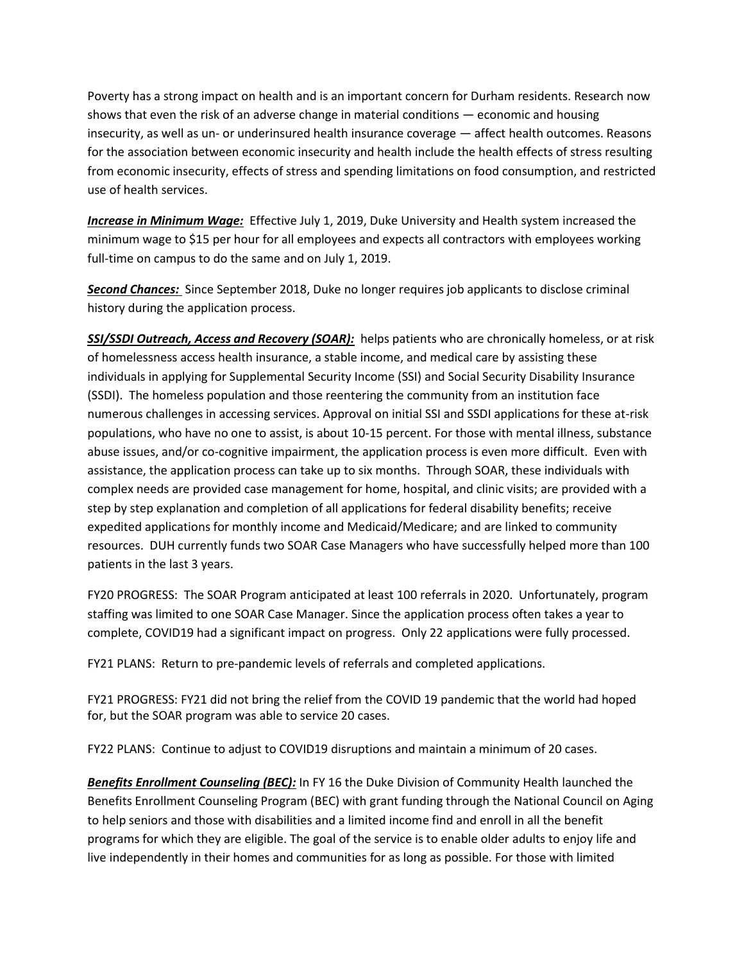Poverty has a strong impact on health and is an important concern for Durham residents. Research now shows that even the risk of an adverse change in material conditions — economic and housing insecurity, as well as un- or underinsured health insurance coverage — affect health outcomes. Reasons for the association between economic insecurity and health include the health effects of stress resulting from economic insecurity, effects of stress and spending limitations on food consumption, and restricted use of health services.

*Increase in Minimum Wage:* Effective July 1, 2019, Duke University and Health system increased the minimum wage to \$15 per hour for all employees and expects all contractors with employees working full-time on campus to do the same and on July 1, 2019.

*Second Chances:* Since September 2018, Duke no longer requires job applicants to disclose criminal history during the application process.

*SSI/SSDI Outreach, Access and Recovery (SOAR):*helps patients who are chronically homeless, or at risk of homelessness access health insurance, a stable income, and medical care by assisting these individuals in applying for Supplemental Security Income (SSI) and Social Security Disability Insurance (SSDI).The homeless population and those reentering the community from an institution face numerous challenges in accessing services. Approval on initial SSI and SSDI applications for these at-risk populations, who have no one to assist, is about 10-15 percent. For those with mental illness, substance abuse issues, and/or co-cognitive impairment, the application process is even more difficult. Even with assistance, the application process can take up to six months. Through SOAR, these individuals with complex needs are provided case management for home, hospital, and clinic visits; are provided with a step by step explanation and completion of all applications for federal disability benefits; receive expedited applications for monthly income and Medicaid/Medicare; and are linked to community resources. DUH currently funds two SOAR Case Managers who have successfully helped more than 100 patients in the last 3 years.

FY20 PROGRESS: The SOAR Program anticipated at least 100 referrals in 2020. Unfortunately, program staffing was limited to one SOAR Case Manager. Since the application process often takes a year to complete, COVID19 had a significant impact on progress. Only 22 applications were fully processed.

FY21 PLANS: Return to pre-pandemic levels of referrals and completed applications.

FY21 PROGRESS: FY21 did not bring the relief from the COVID 19 pandemic that the world had hoped for, but the SOAR program was able to service 20 cases.

FY22 PLANS: Continue to adjust to COVID19 disruptions and maintain a minimum of 20 cases.

**Benefits Enrollment Counseling (BEC):** In FY 16 the Duke Division of Community Health launched the Benefits Enrollment Counseling Program (BEC) with grant funding through the National Council on Aging to help seniors and those with disabilities and a limited income find and enroll in all the benefit programs for which they are eligible. The goal of the service is to enable older adults to enjoy life and live independently in their homes and communities for as long as possible. For those with limited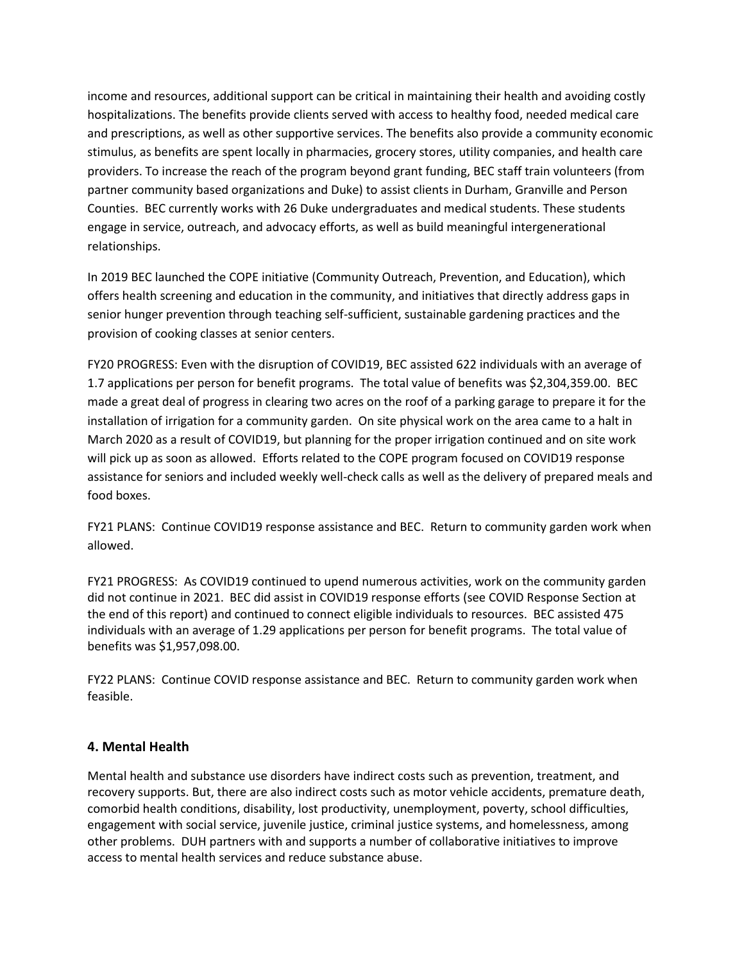income and resources, additional support can be critical in maintaining their health and avoiding costly hospitalizations. The benefits provide clients served with access to healthy food, needed medical care and prescriptions, as well as other supportive services. The benefits also provide a community economic stimulus, as benefits are spent locally in pharmacies, grocery stores, utility companies, and health care providers. To increase the reach of the program beyond grant funding, BEC staff train volunteers (from partner community based organizations and Duke) to assist clients in Durham, Granville and Person Counties. BEC currently works with 26 Duke undergraduates and medical students. These students engage in service, outreach, and advocacy efforts, as well as build meaningful intergenerational relationships.

In 2019 BEC launched the COPE initiative (Community Outreach, Prevention, and Education), which offers health screening and education in the community, and initiatives that directly address gaps in senior hunger prevention through teaching self-sufficient, sustainable gardening practices and the provision of cooking classes at senior centers.

FY20 PROGRESS: Even with the disruption of COVID19, BEC assisted 622 individuals with an average of 1.7 applications per person for benefit programs. The total value of benefits was \$2,304,359.00. BEC made a great deal of progress in clearing two acres on the roof of a parking garage to prepare it for the installation of irrigation for a community garden. On site physical work on the area came to a halt in March 2020 as a result of COVID19, but planning for the proper irrigation continued and on site work will pick up as soon as allowed. Efforts related to the COPE program focused on COVID19 response assistance for seniors and included weekly well-check calls as well as the delivery of prepared meals and food boxes.

FY21 PLANS: Continue COVID19 response assistance and BEC. Return to community garden work when allowed.

FY21 PROGRESS: As COVID19 continued to upend numerous activities, work on the community garden did not continue in 2021. BEC did assist in COVID19 response efforts (see COVID Response Section at the end of this report) and continued to connect eligible individuals to resources. BEC assisted 475 individuals with an average of 1.29 applications per person for benefit programs. The total value of benefits was \$1,957,098.00.

FY22 PLANS: Continue COVID response assistance and BEC. Return to community garden work when feasible.

#### **4. Mental Health**

Mental health and substance use disorders have indirect costs such as prevention, treatment, and recovery supports. But, there are also indirect costs such as motor vehicle accidents, premature death, comorbid health conditions, disability, lost productivity, unemployment, poverty, school difficulties, engagement with social service, juvenile justice, criminal justice systems, and homelessness, among other problems. DUH partners with and supports a number of collaborative initiatives to improve access to mental health services and reduce substance abuse.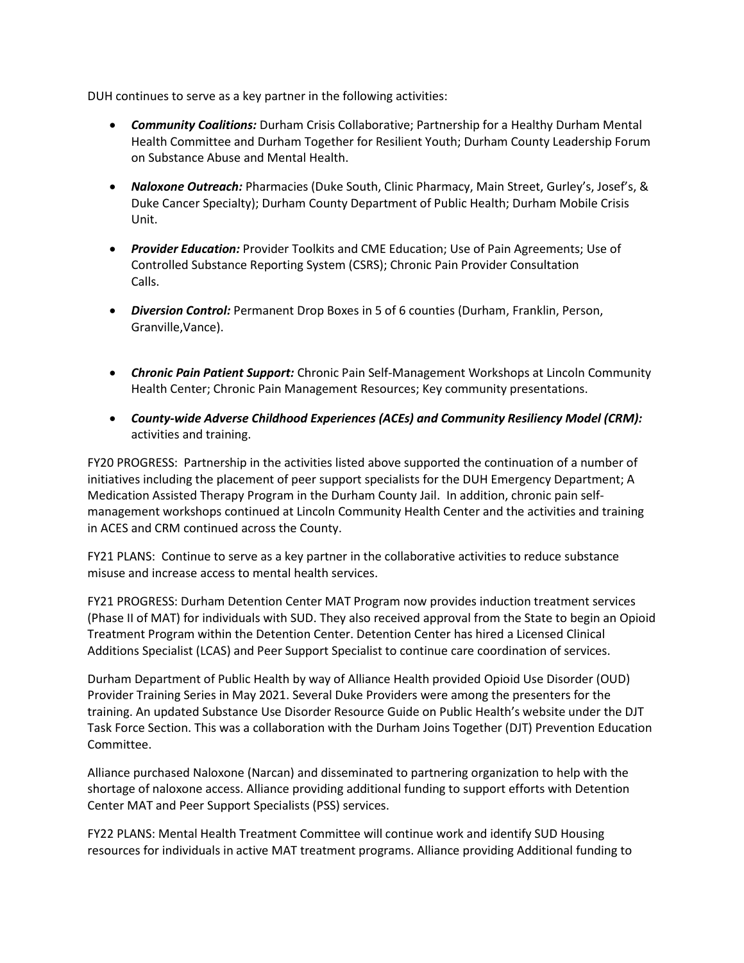DUH continues to serve as a key partner in the following activities:

- *Community Coalitions:* Durham Crisis Collaborative; Partnership for a Healthy Durham Mental Health Committee and Durham Together for Resilient Youth; Durham County Leadership Forum on Substance Abuse and Mental Health.
- *Naloxone Outreach:* Pharmacies (Duke South, Clinic Pharmacy, Main Street, Gurley's, Josef's, & Duke Cancer Specialty); Durham County Department of Public Health; Durham Mobile Crisis Unit.
- *Provider Education:* Provider Toolkits and CME Education; Use of Pain Agreements; Use of Controlled Substance Reporting System (CSRS); Chronic Pain Provider Consultation Calls.
- *Diversion Control:* Permanent Drop Boxes in 5 of 6 counties (Durham, Franklin, Person, Granville,Vance).
- *Chronic Pain Patient Support:* Chronic Pain Self-Management Workshops at Lincoln Community Health Center; Chronic Pain Management Resources; Key community presentations.
- *County-wide Adverse Childhood Experiences (ACEs) and Community Resiliency Model (CRM):*  activities and training.

FY20 PROGRESS: Partnership in the activities listed above supported the continuation of a number of initiatives including the placement of peer support specialists for the DUH Emergency Department; A Medication Assisted Therapy Program in the Durham County Jail. In addition, chronic pain selfmanagement workshops continued at Lincoln Community Health Center and the activities and training in ACES and CRM continued across the County.

FY21 PLANS: Continue to serve as a key partner in the collaborative activities to reduce substance misuse and increase access to mental health services.

FY21 PROGRESS: Durham Detention Center MAT Program now provides induction treatment services (Phase II of MAT) for individuals with SUD. They also received approval from the State to begin an Opioid Treatment Program within the Detention Center. Detention Center has hired a Licensed Clinical Additions Specialist (LCAS) and Peer Support Specialist to continue care coordination of services.

Durham Department of Public Health by way of Alliance Health provided Opioid Use Disorder (OUD) Provider Training Series in May 2021. Several Duke Providers were among the presenters for the training. An updated Substance Use Disorder Resource Guide on Public Health's website under the DJT Task Force Section. This was a collaboration with the Durham Joins Together (DJT) Prevention Education Committee.

Alliance purchased Naloxone (Narcan) and disseminated to partnering organization to help with the shortage of naloxone access. Alliance providing additional funding to support efforts with Detention Center MAT and Peer Support Specialists (PSS) services.

FY22 PLANS: Mental Health Treatment Committee will continue work and identify SUD Housing resources for individuals in active MAT treatment programs. Alliance providing Additional funding to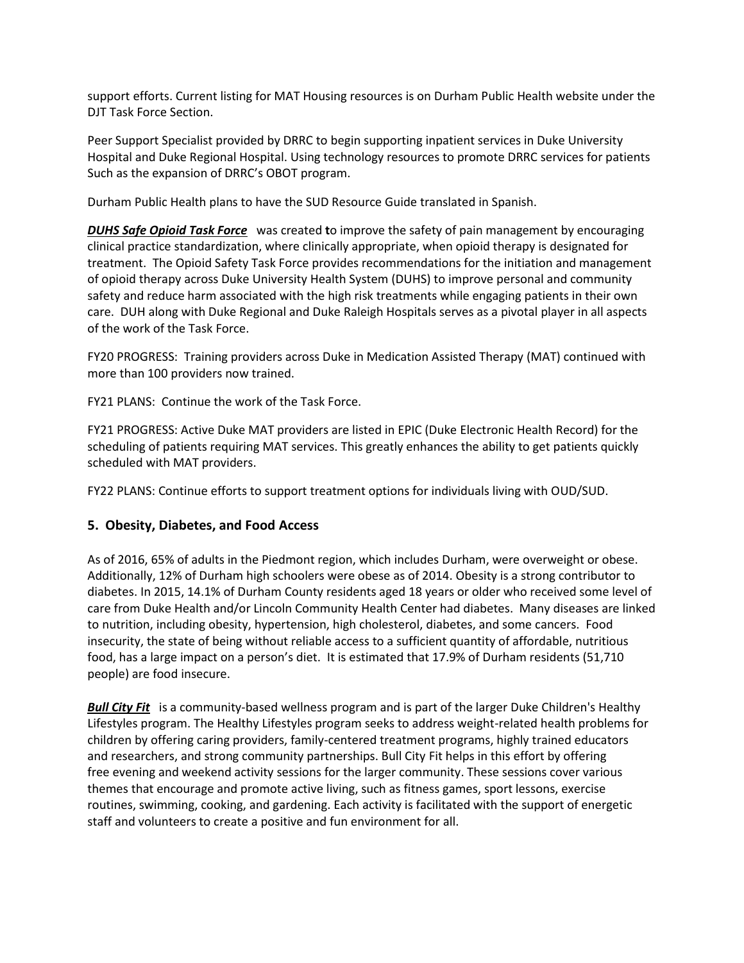support efforts. Current listing for MAT Housing resources is on Durham Public Health website under the DJT Task Force Section.

Peer Support Specialist provided by DRRC to begin supporting inpatient services in Duke University Hospital and Duke Regional Hospital. Using technology resources to promote DRRC services for patients Such as the expansion of DRRC's OBOT program.

Durham Public Health plans to have the SUD Resource Guide translated in Spanish.

*DUHS Safe Opioid Task Force*was created **t**o improve the safety of pain management by encouraging clinical practice standardization, where clinically appropriate, when opioid therapy is designated for treatment. The Opioid Safety Task Force provides recommendations for the initiation and management of opioid therapy across Duke University Health System (DUHS) to improve personal and community safety and reduce harm associated with the high risk treatments while engaging patients in their own care. DUH along with Duke Regional and Duke Raleigh Hospitals serves as a pivotal player in all aspects of the work of the Task Force.

FY20 PROGRESS: Training providers across Duke in Medication Assisted Therapy (MAT) continued with more than 100 providers now trained.

FY21 PLANS: Continue the work of the Task Force.

FY21 PROGRESS: Active Duke MAT providers are listed in EPIC (Duke Electronic Health Record) for the scheduling of patients requiring MAT services. This greatly enhances the ability to get patients quickly scheduled with MAT providers.

FY22 PLANS: Continue efforts to support treatment options for individuals living with OUD/SUD.

#### **5. Obesity, Diabetes, and Food Access**

As of 2016, 65% of adults in the Piedmont region, which includes Durham, were overweight or obese. Additionally, 12% of Durham high schoolers were obese as of 2014. Obesity is a strong contributor to diabetes. In 2015, 14.1% of Durham County residents aged 18 years or older who received some level of care from Duke Health and/or Lincoln Community Health Center had diabetes. Many diseases are linked to nutrition, including obesity, hypertension, high cholesterol, diabetes, and some cancers. Food insecurity, the state of being without reliable access to a sufficient quantity of affordable, nutritious food, has a large impact on a person's diet. It is estimated that 17.9% of Durham residents (51,710 people) are food insecure.

*Bull City Fit* is a community-based wellness program and is part of the larger [Duke Children's Healthy](http://www.dukechildrens.org/services/nutritional_disorders_and_obesity)  [Lifestyles](http://www.dukechildrens.org/services/nutritional_disorders_and_obesity) program. The Healthy Lifestyles program seeks to address weight-related health problems for children by offering caring providers, family-centered treatment programs, highly trained educators and researchers, and strong community partnerships. Bull City Fit helps in this effort by offering free evening and weekend activity sessions for the larger community. These sessions cover various themes that encourage and promote active living, such as fitness games, sport lessons, exercise routines, swimming, cooking, and gardening. Each activity is facilitated with the support of energetic staff and volunteers to create a positive and fun environment for all.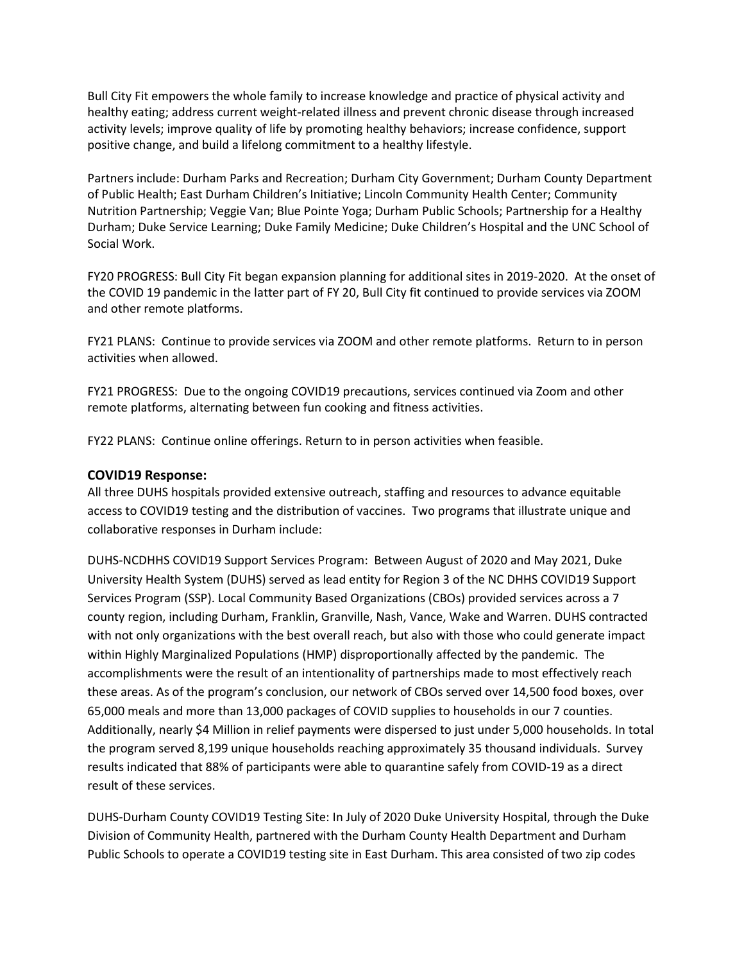Bull City Fit empowers the whole family to increase knowledge and practice of physical activity and healthy eating; address current weight-related illness and prevent chronic disease through increased activity levels; improve quality of life by promoting healthy behaviors; increase confidence, support positive change, and build a lifelong commitment to a healthy lifestyle.

Partners include: Durham Parks and [Recreation;](http://durhamnc.gov/ich/op/prd/Pages/Home.aspx) Durham City [Government;](http://durhamnc.gov/Pages/Home.aspx) Durham County [Department](http://www.dconc.gov/government/departments-f-z/public-health) of Public [Health;](http://www.dconc.gov/government/departments-f-z/public-health) East Durham [Children's](http://edci.org/) Initiative; Lincoln [Community](http://www.lincolnchc.org/) Health Center; [Community](http://www.cnpnc.org/index.php/veggie-van) Nutrition [Partnership; Veggie](http://www.cnpnc.org/index.php/veggie-van) Van; Blue [Pointe](http://www.bluepointyoga.com/) Yoga[; Durham](http://www.dpsnc.net/pages/Durham_Public_Schools) Public Schools; [Partnership](http://www.healthydurham.org/) for a Healthy [Durham;](http://www.healthydurham.org/) Duke Service [Learning;](http://servicelearning.duke.edu/) Duke Family [Medicine;](http://www.dukemedicine.org/locations/duke-family-medicine-center) Duke [Children's](http://www.dukechildrens.org/) Hospital and the UNC [School](http://ssw.unc.edu/) of Social [Work.](http://ssw.unc.edu/)

FY20 PROGRESS: Bull City Fit began expansion planning for additional sites in 2019-2020. At the onset of the COVID 19 pandemic in the latter part of FY 20, Bull City fit continued to provide services via ZOOM and other remote platforms.

FY21 PLANS: Continue to provide services via ZOOM and other remote platforms. Return to in person activities when allowed.

FY21 PROGRESS: Due to the ongoing COVID19 precautions, services continued via Zoom and other remote platforms, alternating between fun cooking and fitness activities.

FY22 PLANS: Continue online offerings. Return to in person activities when feasible.

#### **COVID19 Response:**

All three DUHS hospitals provided extensive outreach, staffing and resources to advance equitable access to COVID19 testing and the distribution of vaccines. Two programs that illustrate unique and collaborative responses in Durham include:

DUHS-NCDHHS COVID19 Support Services Program: Between August of 2020 and May 2021, Duke University Health System (DUHS) served as lead entity for Region 3 of the NC DHHS COVID19 Support Services Program (SSP). Local Community Based Organizations (CBOs) provided services across a 7 county region, including Durham, Franklin, Granville, Nash, Vance, Wake and Warren. DUHS contracted with not only organizations with the best overall reach, but also with those who could generate impact within Highly Marginalized Populations (HMP) disproportionally affected by the pandemic. The accomplishments were the result of an intentionality of partnerships made to most effectively reach these areas. As of the program's conclusion, our network of CBOs served over 14,500 food boxes, over 65,000 meals and more than 13,000 packages of COVID supplies to households in our 7 counties. Additionally, nearly \$4 Million in relief payments were dispersed to just under 5,000 households. In total the program served 8,199 unique households reaching approximately 35 thousand individuals. Survey results indicated that 88% of participants were able to quarantine safely from COVID-19 as a direct result of these services.

DUHS-Durham County COVID19 Testing Site: In July of 2020 Duke University Hospital, through the Duke Division of Community Health, partnered with the Durham County Health Department and Durham Public Schools to operate a COVID19 testing site in East Durham. This area consisted of two zip codes